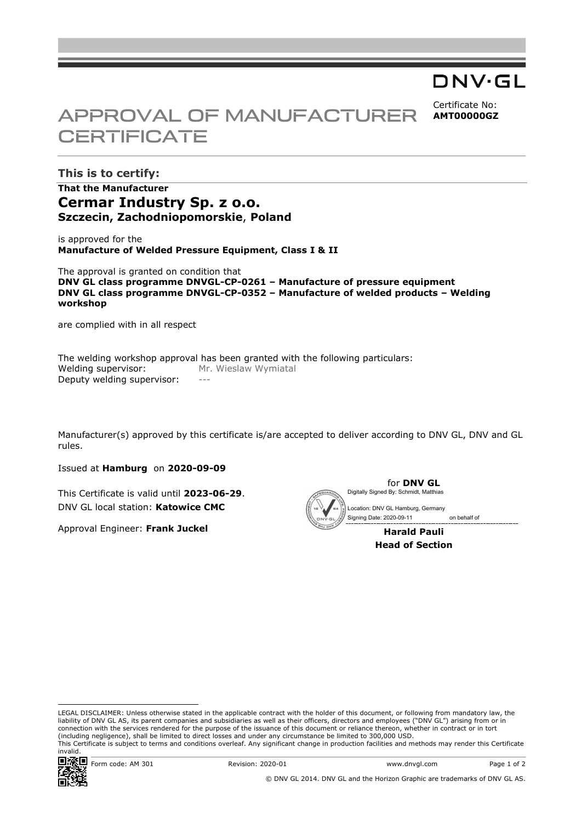## DNV·GL

Certificate No: **AMT00000GZ**

# APPROVAL OF MANUFACTURER **CERTIFICATE**

**This is to certify: That the Manufacturer Cermar Industry Sp. z o.o. Szczecin, Zachodniopomorskie**, **Poland**

is approved for the **Manufacture of Welded Pressure Equipment, Class I & II**

The approval is granted on condition that **DNV GL class programme DNVGL-CP-0261 – Manufacture of pressure equipment DNV GL class programme DNVGL-CP-0352 – Manufacture of welded products – Welding workshop** 

are complied with in all respect

The welding workshop approval has been granted with the following particulars: Welding supervisor: Mr. Wieslaw Wymiatal Deputy welding supervisor:

Manufacturer(s) approved by this certificate is/are accepted to deliver according to DNV GL, DNV and GL rules.

Issued at **Hamburg** on **2020-09-09**

This Certificate is valid until **2023-06-29**. DNV GL local station: **Katowice CMC**

Approval Engineer: **Frank Juckel**



**Head of Section** 

LEGAL DISCLAIMER: Unless otherwise stated in the applicable contract with the holder of this document, or following from mandatory law, the liability of DNV GL AS, its parent companies and subsidiaries as well as their officers, directors and employees ("DNV GL") arising from or in connection with the services rendered for the purpose of the issuance of this document or reliance thereon, whether in contract or in tort (including negligence), shall be limited to direct losses and under any circumstance be limited to 300,000 USD. This Certificate is subject to terms and conditions overleaf. Any significant change in production facilities and methods may render this Certificate invalid.